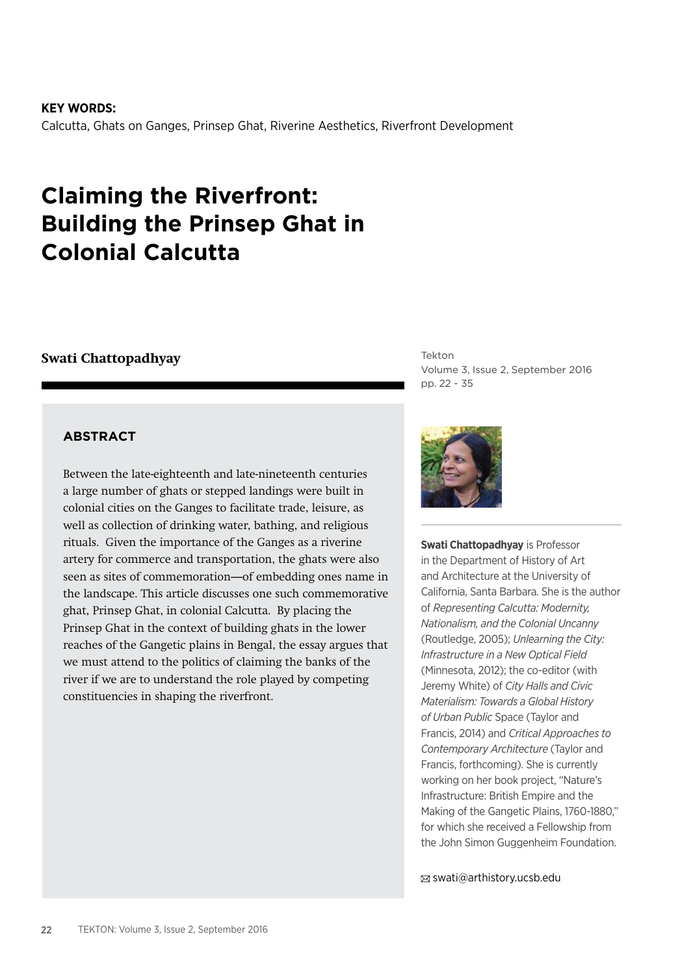**KEY WORDS:** Calcutta, Ghats on Ganges, Prinsep Ghat, Riverine Aesthetics, Riverfront Development

# **Claiming the Riverfront: Building the Prinsep Ghat in Colonial Calcutta**

## **Swati Chattopadhyay**

## **ABSTRACT**

Between the late-eighteenth and late-nineteenth centuries a large number of ghats or stepped landings were built in colonial cities on the Ganges to facilitate trade, leisure, as well as collection of drinking water, bathing, and religious rituals. Given the importance of the Ganges as a riverine artery for commerce and transportation, the ghats were also seen as sites of commemoration—of embedding ones name in the landscape. This article discusses one such commemorative ghat, Prinsep Ghat, in colonial Calcutta. By placing the Prinsep Ghat in the context of building ghats in the lower reaches of the Gangetic plains in Bengal, the essay argues that we must attend to the politics of claiming the banks of the river if we are to understand the role played by competing constituencies in shaping the riverfront.

Tekton Volume 3, Issue 2, September 2016 pp. 22 - 35



swati@arthistory.ucsb.edu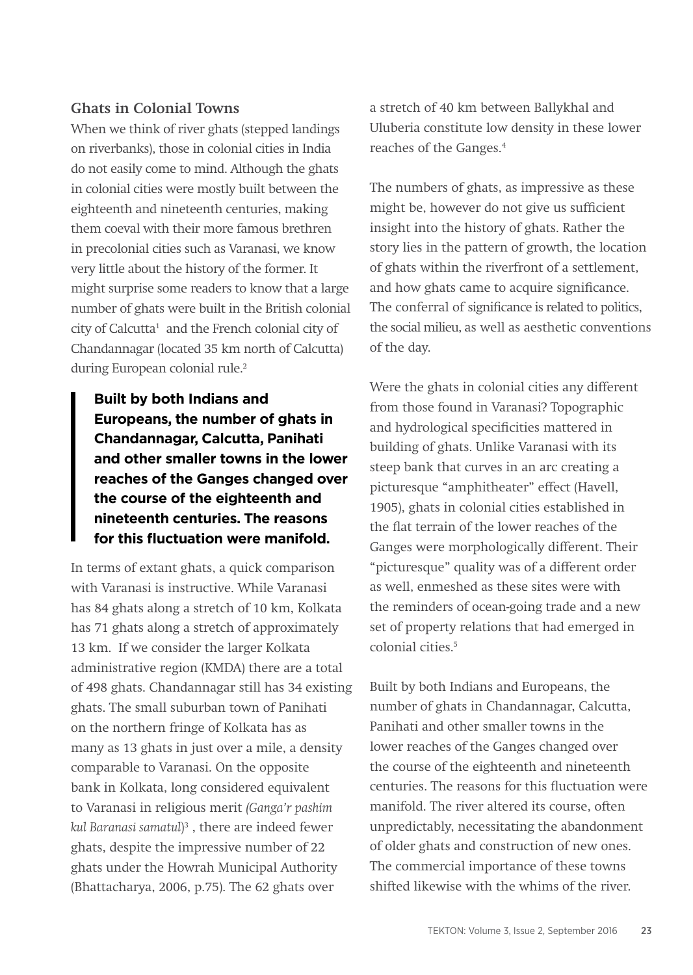## **Ghats in Colonial Towns**

When we think of river ghats (stepped landings on riverbanks), those in colonial cities in India do not easily come to mind. Although the ghats in colonial cities were mostly built between the eighteenth and nineteenth centuries, making them coeval with their more famous brethren in precolonial cities such as Varanasi, we know very little about the history of the former. It might surprise some readers to know that a large number of ghats were built in the British colonial city of Calcutta<sup>1</sup> and the French colonial city of Chandannagar (located 35 km north of Calcutta) during European colonial rule.<sup>2</sup>

**Built by both Indians and Europeans, the number of ghats in Chandannagar, Calcutta, Panihati and other smaller towns in the lower reaches of the Ganges changed over the course of the eighteenth and nineteenth centuries. The reasons for this fluctuation were manifold.**

In terms of extant ghats, a quick comparison with Varanasi is instructive. While Varanasi has 84 ghats along a stretch of 10 km, Kolkata has 71 ghats along a stretch of approximately 13 km. If we consider the larger Kolkata administrative region (KMDA) there are a total of 498 ghats. Chandannagar still has 34 existing ghats. The small suburban town of Panihati on the northern fringe of Kolkata has as many as 13 ghats in just over a mile, a density comparable to Varanasi. On the opposite bank in Kolkata, long considered equivalent to Varanasi in religious merit *(Ganga'r pashim kul Baranasi samatul*) 3 , there are indeed fewer ghats, despite the impressive number of 22 ghats under the Howrah Municipal Authority (Bhattacharya, 2006, p.75). The 62 ghats over

a stretch of 40 km between Ballykhal and Uluberia constitute low density in these lower reaches of the Ganges.<sup>4</sup>

The numbers of ghats, as impressive as these might be, however do not give us sufficient insight into the history of ghats. Rather the story lies in the pattern of growth, the location of ghats within the riverfront of a settlement, and how ghats came to acquire significance. The conferral of significance is related to politics, the social milieu, as well as aesthetic conventions of the day.

Were the ghats in colonial cities any different from those found in Varanasi? Topographic and hydrological specificities mattered in building of ghats. Unlike Varanasi with its steep bank that curves in an arc creating a picturesque "amphitheater" effect (Havell, 1905), ghats in colonial cities established in the flat terrain of the lower reaches of the Ganges were morphologically different. Their "picturesque" quality was of a different order as well, enmeshed as these sites were with the reminders of ocean-going trade and a new set of property relations that had emerged in colonial cities.5

Built by both Indians and Europeans, the number of ghats in Chandannagar, Calcutta, Panihati and other smaller towns in the lower reaches of the Ganges changed over the course of the eighteenth and nineteenth centuries. The reasons for this fluctuation were manifold. The river altered its course, often unpredictably, necessitating the abandonment of older ghats and construction of new ones. The commercial importance of these towns shifted likewise with the whims of the river.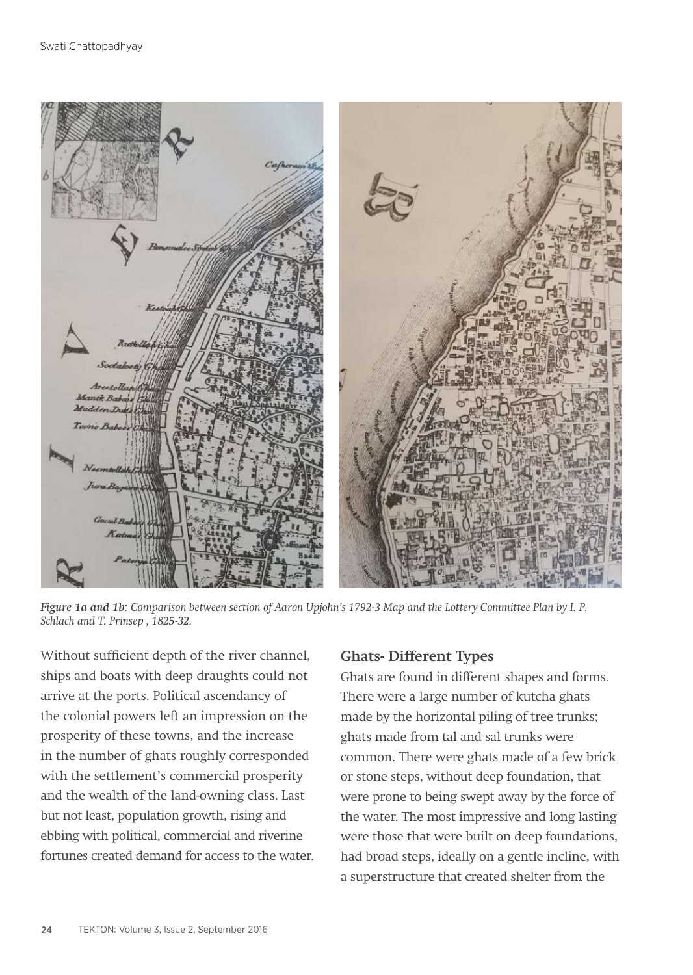

*Figure 1a and 1b: Comparison between section of Aaron Upjohn's 1792-3 Map and the Lottery Committee Plan by I. P. Schlach and T. Prinsep , 1825-32.*

Without sufficient depth of the river channel, ships and boats with deep draughts could not arrive at the ports. Political ascendancy of the colonial powers left an impression on the prosperity of these towns, and the increase in the number of ghats roughly corresponded with the settlement's commercial prosperity and the wealth of the land-owning class. Last but not least, population growth, rising and ebbing with political, commercial and riverine fortunes created demand for access to the water.

## **Ghats- Different Types**

Ghats are found in different shapes and forms. There were a large number of kutcha ghats made by the horizontal piling of tree trunks; ghats made from tal and sal trunks were common. There were ghats made of a few brick or stone steps, without deep foundation, that were prone to being swept away by the force of the water. The most impressive and long lasting were those that were built on deep foundations, had broad steps, ideally on a gentle incline, with a superstructure that created shelter from the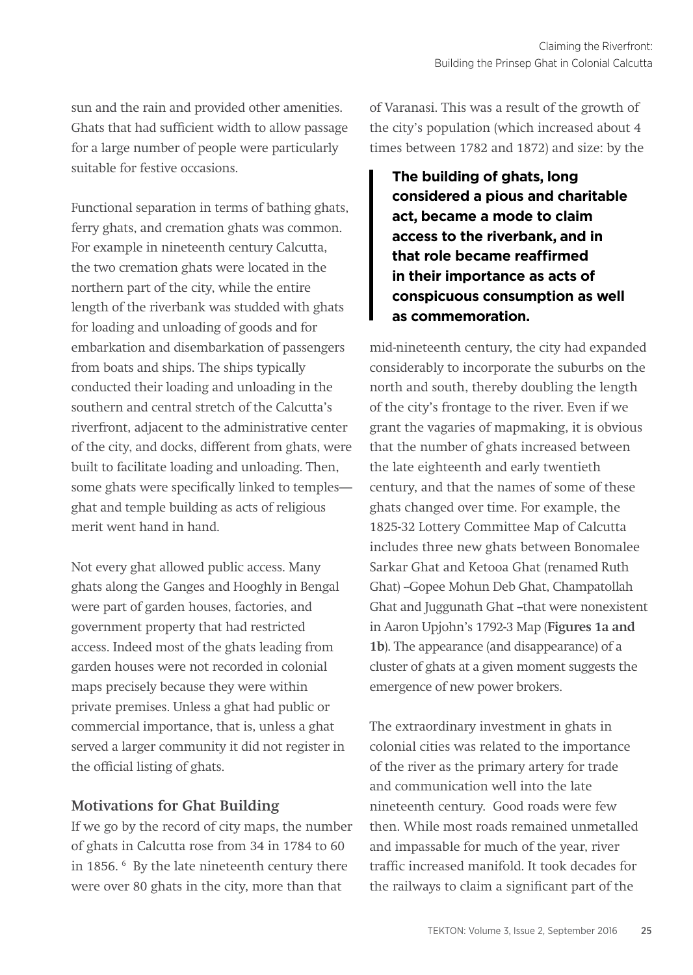sun and the rain and provided other amenities. Ghats that had sufficient width to allow passage for a large number of people were particularly suitable for festive occasions.

Functional separation in terms of bathing ghats, ferry ghats, and cremation ghats was common. For example in nineteenth century Calcutta, the two cremation ghats were located in the northern part of the city, while the entire length of the riverbank was studded with ghats for loading and unloading of goods and for embarkation and disembarkation of passengers from boats and ships. The ships typically conducted their loading and unloading in the southern and central stretch of the Calcutta's riverfront, adjacent to the administrative center of the city, and docks, different from ghats, were built to facilitate loading and unloading. Then, some ghats were specifically linked to temples ghat and temple building as acts of religious merit went hand in hand.

Not every ghat allowed public access. Many ghats along the Ganges and Hooghly in Bengal were part of garden houses, factories, and government property that had restricted access. Indeed most of the ghats leading from garden houses were not recorded in colonial maps precisely because they were within private premises. Unless a ghat had public or commercial importance, that is, unless a ghat served a larger community it did not register in the official listing of ghats.

## **Motivations for Ghat Building**

If we go by the record of city maps, the number of ghats in Calcutta rose from 34 in 1784 to 60 in 1856. 6 By the late nineteenth century there were over 80 ghats in the city, more than that

of Varanasi. This was a result of the growth of the city's population (which increased about 4 times between 1782 and 1872) and size: by the

**The building of ghats, long considered a pious and charitable act, became a mode to claim access to the riverbank, and in that role became reaffirmed in their importance as acts of conspicuous consumption as well as commemoration.**

mid-nineteenth century, the city had expanded considerably to incorporate the suburbs on the north and south, thereby doubling the length of the city's frontage to the river. Even if we grant the vagaries of mapmaking, it is obvious that the number of ghats increased between the late eighteenth and early twentieth century, and that the names of some of these ghats changed over time. For example, the 1825-32 Lottery Committee Map of Calcutta includes three new ghats between Bonomalee Sarkar Ghat and Ketooa Ghat (renamed Ruth Ghat) --Gopee Mohun Deb Ghat, Champatollah Ghat and Juggunath Ghat -that were nonexistent in Aaron Upjohn's 1792-3 Map (**Figures 1a and 1b**). The appearance (and disappearance) of a cluster of ghats at a given moment suggests the emergence of new power brokers.

The extraordinary investment in ghats in colonial cities was related to the importance of the river as the primary artery for trade and communication well into the late nineteenth century. Good roads were few then. While most roads remained unmetalled and impassable for much of the year, river traffic increased manifold. It took decades for the railways to claim a significant part of the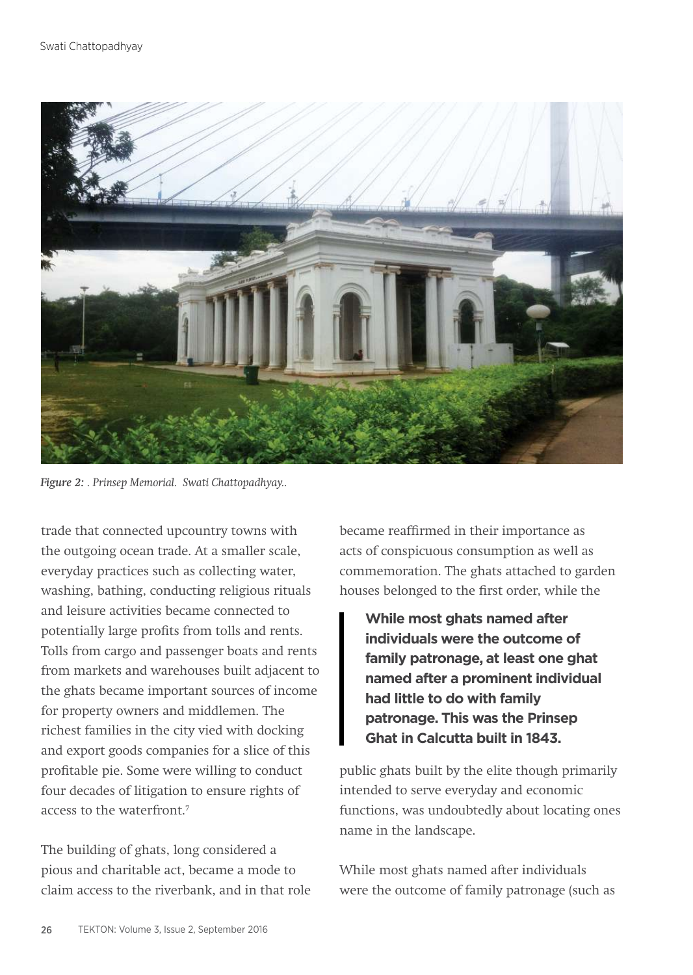

*Figure 2: . Prinsep Memorial. Swati Chattopadhyay..*

trade that connected upcountry towns with the outgoing ocean trade. At a smaller scale, everyday practices such as collecting water, washing, bathing, conducting religious rituals and leisure activities became connected to potentially large profits from tolls and rents. Tolls from cargo and passenger boats and rents from markets and warehouses built adjacent to the ghats became important sources of income for property owners and middlemen. The richest families in the city vied with docking and export goods companies for a slice of this profitable pie. Some were willing to conduct four decades of litigation to ensure rights of access to the waterfront<sup>7</sup>

The building of ghats, long considered a pious and charitable act, became a mode to claim access to the riverbank, and in that role became reaffirmed in their importance as acts of conspicuous consumption as well as commemoration. The ghats attached to garden houses belonged to the first order, while the

**While most ghats named after individuals were the outcome of family patronage, at least one ghat named after a prominent individual had little to do with family patronage. This was the Prinsep Ghat in Calcutta built in 1843.**

public ghats built by the elite though primarily intended to serve everyday and economic functions, was undoubtedly about locating ones name in the landscape.

While most ghats named after individuals were the outcome of family patronage (such as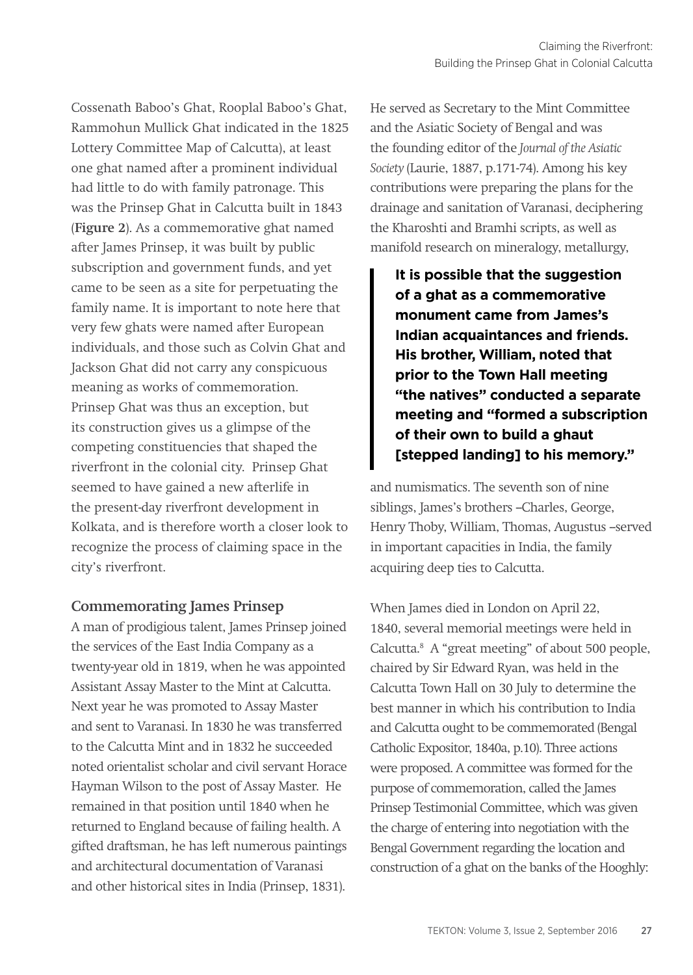Cossenath Baboo's Ghat, Rooplal Baboo's Ghat, Rammohun Mullick Ghat indicated in the 1825 Lottery Committee Map of Calcutta), at least one ghat named after a prominent individual had little to do with family patronage. This was the Prinsep Ghat in Calcutta built in 1843 (**Figure 2**). As a commemorative ghat named after James Prinsep, it was built by public subscription and government funds, and yet came to be seen as a site for perpetuating the family name. It is important to note here that very few ghats were named after European individuals, and those such as Colvin Ghat and Jackson Ghat did not carry any conspicuous meaning as works of commemoration. Prinsep Ghat was thus an exception, but its construction gives us a glimpse of the competing constituencies that shaped the riverfront in the colonial city. Prinsep Ghat seemed to have gained a new afterlife in the present-day riverfront development in Kolkata, and is therefore worth a closer look to recognize the process of claiming space in the city's riverfront.

## **Commemorating James Prinsep**

A man of prodigious talent, James Prinsep joined the services of the East India Company as a twenty-year old in 1819, when he was appointed Assistant Assay Master to the Mint at Calcutta. Next year he was promoted to Assay Master and sent to Varanasi. In 1830 he was transferred to the Calcutta Mint and in 1832 he succeeded noted orientalist scholar and civil servant Horace Hayman Wilson to the post of Assay Master. He remained in that position until 1840 when he returned to England because of failing health. A gifted draftsman, he has left numerous paintings and architectural documentation of Varanasi and other historical sites in India (Prinsep, 1831).

He served as Secretary to the Mint Committee and the Asiatic Society of Bengal and was the founding editor of the *Journal of the Asiatic Society* (Laurie, 1887, p.171-74). Among his key contributions were preparing the plans for the drainage and sanitation of Varanasi, deciphering the Kharoshti and Bramhi scripts, as well as manifold research on mineralogy, metallurgy,

**It is possible that the suggestion of a ghat as a commemorative monument came from James's Indian acquaintances and friends. His brother, William, noted that prior to the Town Hall meeting "the natives" conducted a separate meeting and "formed a subscription of their own to build a ghaut [stepped landing] to his memory."** 

and numismatics. The seventh son of nine siblings, James's brothers --Charles, George, Henry Thoby, William, Thomas, Augustus -served in important capacities in India, the family acquiring deep ties to Calcutta.

When James died in London on April 22, 1840, several memorial meetings were held in Calcutta.8 A "great meeting" of about 500 people, chaired by Sir Edward Ryan, was held in the Calcutta Town Hall on 30 July to determine the best manner in which his contribution to India and Calcutta ought to be commemorated (Bengal Catholic Expositor, 1840a, p.10). Three actions were proposed. A committee was formed for the purpose of commemoration, called the James Prinsep Testimonial Committee, which was given the charge of entering into negotiation with the Bengal Government regarding the location and construction of a ghat on the banks of the Hooghly: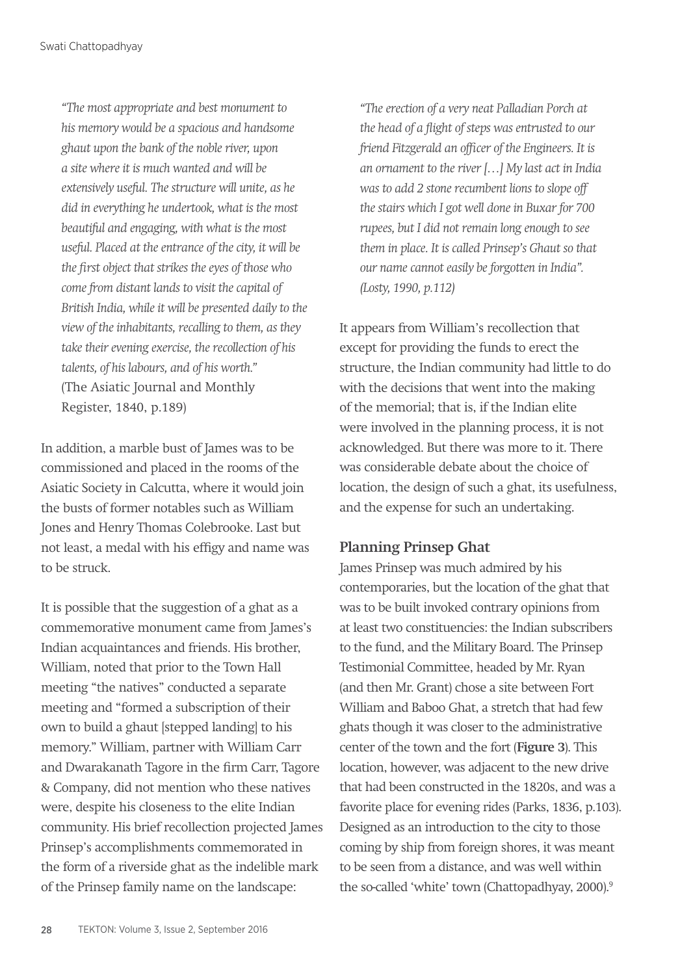*"The most appropriate and best monument to his memory would be a spacious and handsome ghaut upon the bank of the noble river, upon a site where it is much wanted and will be extensively useful. The structure will unite, as he did in everything he undertook, what is the most beautiful and engaging, with what is the most useful. Placed at the entrance of the city, it will be the first object that strikes the eyes of those who come from distant lands to visit the capital of British India, while it will be presented daily to the view of the inhabitants, recalling to them, as they take their evening exercise, the recollection of his talents, of his labours, and of his worth."*  (The Asiatic Journal and Monthly Register, 1840, p.189)

In addition, a marble bust of James was to be commissioned and placed in the rooms of the Asiatic Society in Calcutta, where it would join the busts of former notables such as William Jones and Henry Thomas Colebrooke. Last but not least, a medal with his effigy and name was to be struck.

It is possible that the suggestion of a ghat as a commemorative monument came from James's Indian acquaintances and friends. His brother, William, noted that prior to the Town Hall meeting "the natives" conducted a separate meeting and "formed a subscription of their own to build a ghaut [stepped landing] to his memory." William, partner with William Carr and Dwarakanath Tagore in the firm Carr, Tagore & Company, did not mention who these natives were, despite his closeness to the elite Indian community. His brief recollection projected James Prinsep's accomplishments commemorated in the form of a riverside ghat as the indelible mark of the Prinsep family name on the landscape:

*"The erection of a very neat Palladian Porch at the head of a flight of steps was entrusted to our friend Fitzgerald an officer of the Engineers. It is an ornament to the river […] My last act in India was to add 2 stone recumbent lions to slope off the stairs which I got well done in Buxar for 700 rupees, but I did not remain long enough to see them in place. It is called Prinsep's Ghaut so that our name cannot easily be forgotten in India". (Losty, 1990, p.112)*

It appears from William's recollection that except for providing the funds to erect the structure, the Indian community had little to do with the decisions that went into the making of the memorial; that is, if the Indian elite were involved in the planning process, it is not acknowledged. But there was more to it. There was considerable debate about the choice of location, the design of such a ghat, its usefulness, and the expense for such an undertaking.

## **Planning Prinsep Ghat**

James Prinsep was much admired by his contemporaries, but the location of the ghat that was to be built invoked contrary opinions from at least two constituencies: the Indian subscribers to the fund, and the Military Board. The Prinsep Testimonial Committee, headed by Mr. Ryan (and then Mr. Grant) chose a site between Fort William and Baboo Ghat, a stretch that had few ghats though it was closer to the administrative center of the town and the fort (**Figure 3**). This location, however, was adjacent to the new drive that had been constructed in the 1820s, and was a favorite place for evening rides (Parks, 1836, p.103). Designed as an introduction to the city to those coming by ship from foreign shores, it was meant to be seen from a distance, and was well within the so-called 'white' town (Chattopadhyay, 2000).<sup>9</sup>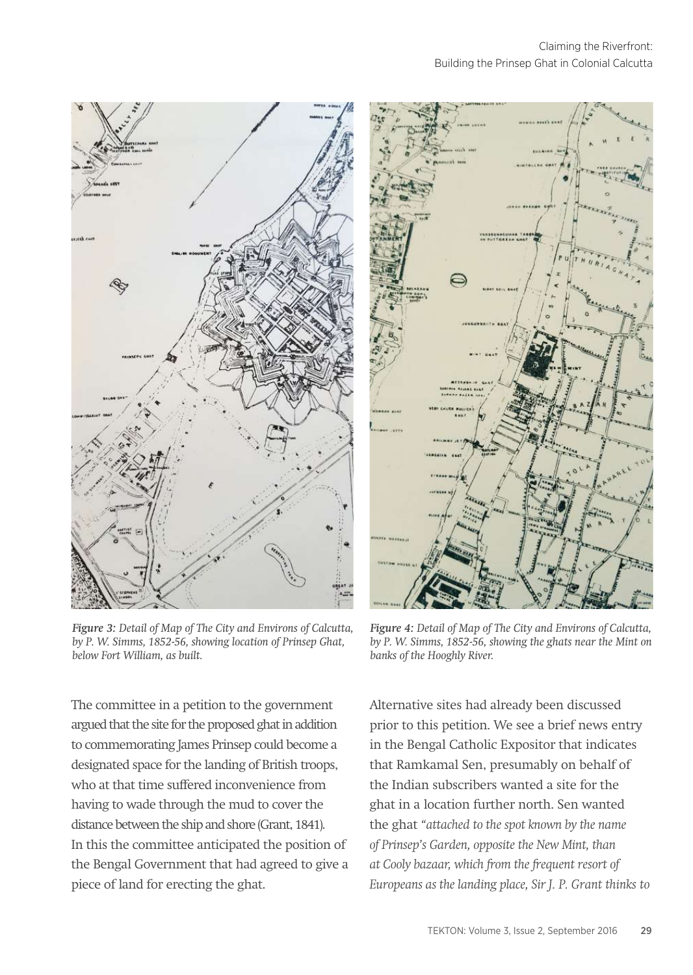

*Figure 3: Detail of Map of The City and Environs of Calcutta, by P. W. Simms, 1852-56, showing location of Prinsep Ghat, below Fort William, as built.*

The committee in a petition to the government argued that the site for the proposed ghat in addition to commemorating James Prinsep could become a designated space for the landing of British troops, who at that time suffered inconvenience from having to wade through the mud to cover the distance between the ship and shore (Grant, 1841). In this the committee anticipated the position of the Bengal Government that had agreed to give a piece of land for erecting the ghat.



*Figure 4: Detail of Map of The City and Environs of Calcutta, by P. W. Simms, 1852-56, showing the ghats near the Mint on banks of the Hooghly River.*

Alternative sites had already been discussed prior to this petition. We see a brief news entry in the Bengal Catholic Expositor that indicates that Ramkamal Sen, presumably on behalf of the Indian subscribers wanted a site for the ghat in a location further north. Sen wanted the ghat *"attached to the spot known by the name of Prinsep's Garden, opposite the New Mint, than at Cooly bazaar, which from the frequent resort of Europeans as the landing place, Sir J. P. Grant thinks to*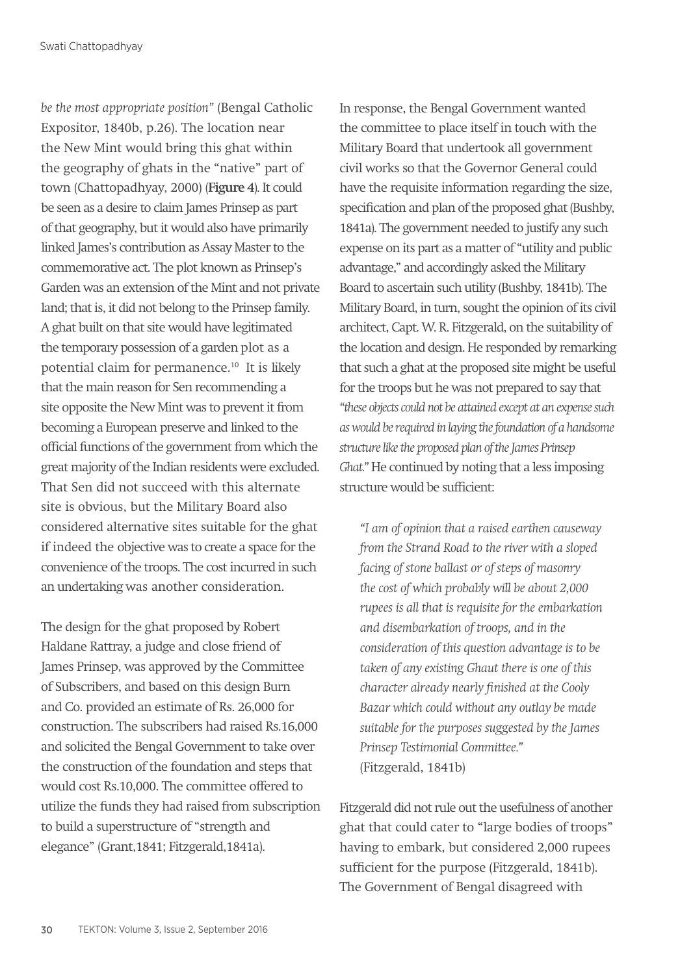*be the most appropriate position"* (Bengal Catholic Expositor, 1840b, p.26). The location near the New Mint would bring this ghat within the geography of ghats in the "native" part of town (Chattopadhyay, 2000) (**Figure 4**). It could be seen as a desire to claim James Prinsep as part of that geography, but it would also have primarily linked James's contribution as Assay Master to the commemorative act. The plot known as Prinsep's Garden was an extension of the Mint and not private land; that is, it did not belong to the Prinsep family. A ghat built on that site would have legitimated the temporary possession of a garden plot as a potential claim for permanence.10 It is likely that the main reason for Sen recommending a site opposite the New Mint was to prevent it from becoming a European preserve and linked to the official functions of the government from which the great majority of the Indian residents were excluded. That Sen did not succeed with this alternate site is obvious, but the Military Board also considered alternative sites suitable for the ghat if indeed the objective was to create a space for the convenience of the troops. The cost incurred in such an undertaking was another consideration.

The design for the ghat proposed by Robert Haldane Rattray, a judge and close friend of James Prinsep, was approved by the Committee of Subscribers, and based on this design Burn and Co. provided an estimate of Rs. 26,000 for construction. The subscribers had raised Rs.16,000 and solicited the Bengal Government to take over the construction of the foundation and steps that would cost Rs.10,000. The committee offered to utilize the funds they had raised from subscription to build a superstructure of "strength and elegance" (Grant,1841; Fitzgerald,1841a).

In response, the Bengal Government wanted the committee to place itself in touch with the Military Board that undertook all government civil works so that the Governor General could have the requisite information regarding the size, specification and plan of the proposed ghat (Bushby, 1841a). The government needed to justify any such expense on its part as a matter of "utility and public advantage," and accordingly asked the Military Board to ascertain such utility (Bushby, 1841b). The Military Board, in turn, sought the opinion of its civil architect, Capt. W. R. Fitzgerald, on the suitability of the location and design. He responded by remarking that such a ghat at the proposed site might be useful for the troops but he was not prepared to say that *"these objects could not be attained except at an expense such as would be required in laying the foundation of a handsome structure like the proposed plan of the James Prinsep Ghat."* He continued by noting that a less imposing structure would be sufficient:

*"I am of opinion that a raised earthen causeway from the Strand Road to the river with a sloped facing of stone ballast or of steps of masonry the cost of which probably will be about 2,000 rupees is all that is requisite for the embarkation and disembarkation of troops, and in the consideration of this question advantage is to be taken of any existing Ghaut there is one of this character already nearly finished at the Cooly Bazar which could without any outlay be made suitable for the purposes suggested by the James Prinsep Testimonial Committee."*  (Fitzgerald, 1841b)

Fitzgerald did not rule out the usefulness of another ghat that could cater to "large bodies of troops" having to embark, but considered 2,000 rupees sufficient for the purpose (Fitzgerald, 1841b). The Government of Bengal disagreed with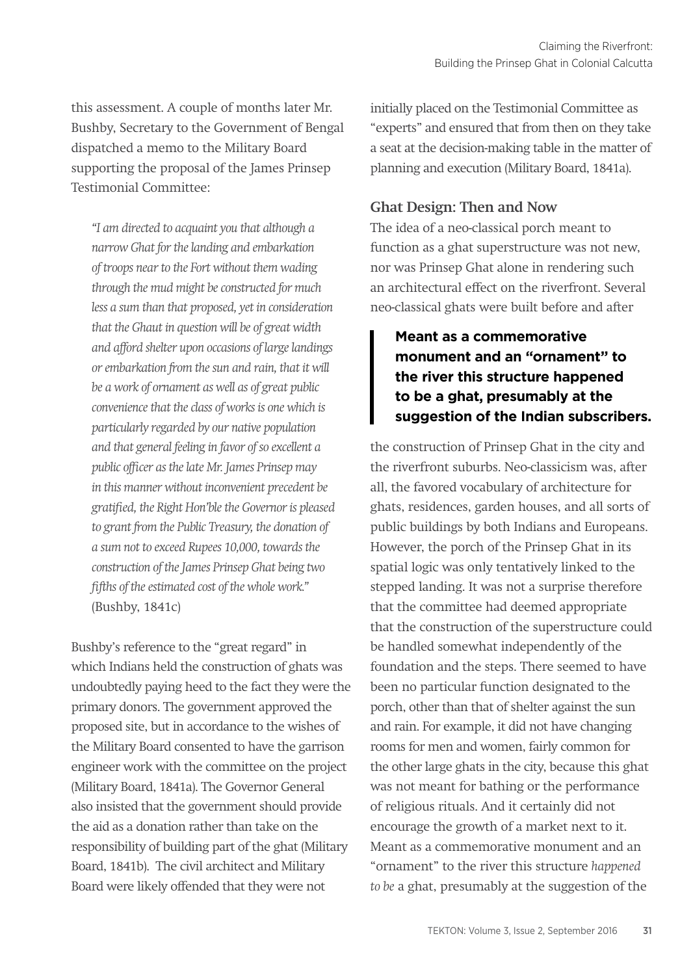this assessment. A couple of months later Mr. Bushby, Secretary to the Government of Bengal dispatched a memo to the Military Board supporting the proposal of the James Prinsep Testimonial Committee:

*"I am directed to acquaint you that although a narrow Ghat for the landing and embarkation of troops near to the Fort without them wading through the mud might be constructed for much less a sum than that proposed, yet in consideration that the Ghaut in question will be of great width and afford shelter upon occasions of large landings or embarkation from the sun and rain, that it will be a work of ornament as well as of great public convenience that the class of works is one which is particularly regarded by our native population and that general feeling in favor of so excellent a public officer as the late Mr. James Prinsep may in this manner without inconvenient precedent be gratified, the Right Hon'ble the Governor is pleased to grant from the Public Treasury, the donation of a sum not to exceed Rupees 10,000, towards the construction of the James Prinsep Ghat being two fifths of the estimated cost of the whole work."* (Bushby, 1841c)

Bushby's reference to the "great regard" in which Indians held the construction of ghats was undoubtedly paying heed to the fact they were the primary donors. The government approved the proposed site, but in accordance to the wishes of the Military Board consented to have the garrison engineer work with the committee on the project (Military Board, 1841a). The Governor General also insisted that the government should provide the aid as a donation rather than take on the responsibility of building part of the ghat (Military Board, 1841b). The civil architect and Military Board were likely offended that they were not

initially placed on the Testimonial Committee as "experts" and ensured that from then on they take a seat at the decision-making table in the matter of planning and execution (Military Board, 1841a).

## **Ghat Design: Then and Now**

The idea of a neo-classical porch meant to function as a ghat superstructure was not new, nor was Prinsep Ghat alone in rendering such an architectural effect on the riverfront. Several neo-classical ghats were built before and after

# **Meant as a commemorative monument and an "ornament" to the river this structure happened to be a ghat, presumably at the suggestion of the Indian subscribers.**

the construction of Prinsep Ghat in the city and the riverfront suburbs. Neo-classicism was, after all, the favored vocabulary of architecture for ghats, residences, garden houses, and all sorts of public buildings by both Indians and Europeans. However, the porch of the Prinsep Ghat in its spatial logic was only tentatively linked to the stepped landing. It was not a surprise therefore that the committee had deemed appropriate that the construction of the superstructure could be handled somewhat independently of the foundation and the steps. There seemed to have been no particular function designated to the porch, other than that of shelter against the sun and rain. For example, it did not have changing rooms for men and women, fairly common for the other large ghats in the city, because this ghat was not meant for bathing or the performance of religious rituals. And it certainly did not encourage the growth of a market next to it. Meant as a commemorative monument and an "ornament" to the river this structure *happened to be* a ghat, presumably at the suggestion of the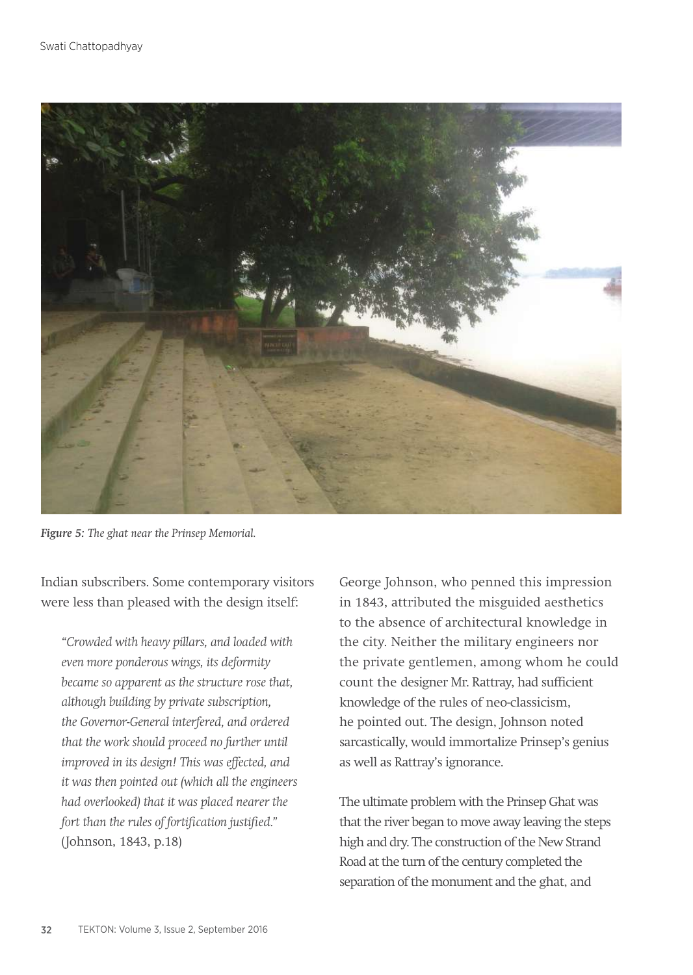

*Figure 5: The ghat near the Prinsep Memorial.* 

Indian subscribers. Some contemporary visitors were less than pleased with the design itself:

*"Crowded with heavy pillars, and loaded with even more ponderous wings, its deformity became so apparent as the structure rose that, although building by private subscription, the Governor-General interfered, and ordered that the work should proceed no further until improved in its design! This was effected, and it was then pointed out (which all the engineers had overlooked) that it was placed nearer the fort than the rules of fortification justified."*  (Johnson, 1843, p.18)

George Johnson, who penned this impression in 1843, attributed the misguided aesthetics to the absence of architectural knowledge in the city. Neither the military engineers nor the private gentlemen, among whom he could count the designer Mr. Rattray, had sufficient knowledge of the rules of neo-classicism, he pointed out. The design, Johnson noted sarcastically, would immortalize Prinsep's genius as well as Rattray's ignorance.

The ultimate problem with the Prinsep Ghat was that the river began to move away leaving the steps high and dry. The construction of the New Strand Road at the turn of the century completed the separation of the monument and the ghat, and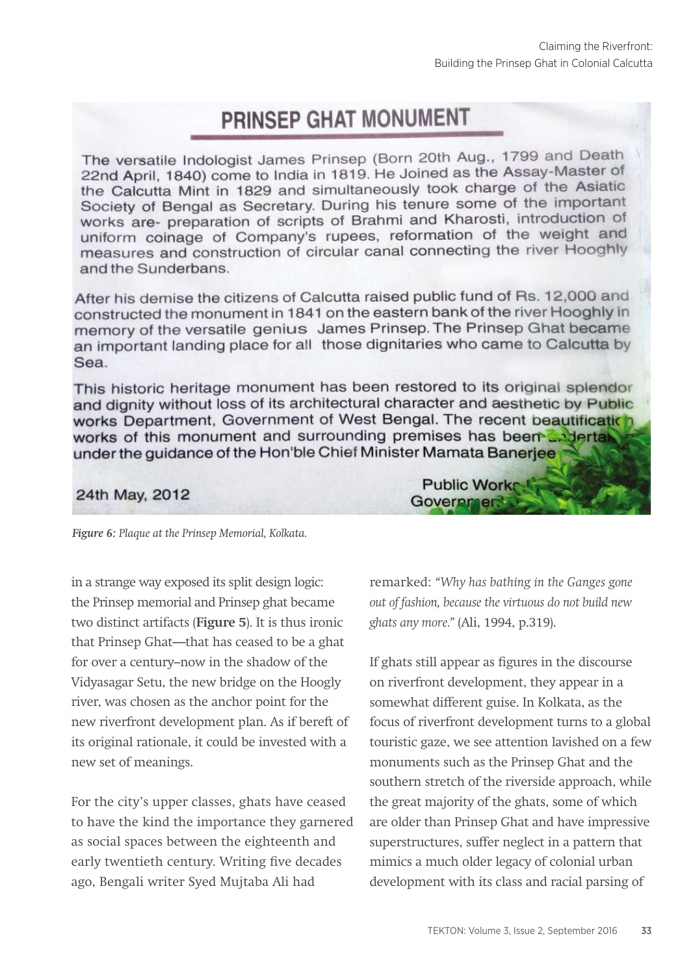# **PRINSEP GHAT MONUMENT**

The versatile Indologist James Prinsep (Born 20th Aug., 1799 and Death 22nd April, 1840) come to India in 1819. He Joined as the Assay-Master of the Calcutta Mint in 1829 and simultaneously took charge of the Asiatic Society of Bengal as Secretary. During his tenure some of the important works are- preparation of scripts of Brahmi and Kharosti, introduction of uniform coinage of Company's rupees, reformation of the weight and measures and construction of circular canal connecting the river Hooghly and the Sunderbans.

After his demise the citizens of Calcutta raised public fund of Rs. 12,000 and constructed the monument in 1841 on the eastern bank of the river Hooghly in memory of the versatile genius James Prinsep. The Prinsep Ghat became an important landing place for all those dignitaries who came to Calcutta by Sea.

This historic heritage monument has been restored to its original splendor and dignity without loss of its architectural character and aesthetic by Public works Department, Government of West Bengal. The recent beautification works of this monument and surrounding premises has been addertable under the guidance of the Hon'ble Chief Minister Mamata Banerjee

## 24th May, 2012

*Figure 6: Plaque at the Prinsep Memorial, Kolkata.* 

in a strange way exposed its split design logic: the Prinsep memorial and Prinsep ghat became two distinct artifacts (**Figure 5**). It is thus ironic that Prinsep Ghat—that has ceased to be a ghat for over a century--now in the shadow of the Vidyasagar Setu, the new bridge on the Hoogly river, was chosen as the anchor point for the new riverfront development plan. As if bereft of its original rationale, it could be invested with a new set of meanings.

For the city's upper classes, ghats have ceased to have the kind the importance they garnered as social spaces between the eighteenth and early twentieth century. Writing five decades ago, Bengali writer Syed Mujtaba Ali had

**Public Works** Governmen.

remarked: *"Why has bathing in the Ganges gone out of fashion, because the virtuous do not build new ghats any more."* (Ali, 1994, p.319).

If ghats still appear as figures in the discourse on riverfront development, they appear in a somewhat different guise. In Kolkata, as the focus of riverfront development turns to a global touristic gaze, we see attention lavished on a few monuments such as the Prinsep Ghat and the southern stretch of the riverside approach, while the great majority of the ghats, some of which are older than Prinsep Ghat and have impressive superstructures, suffer neglect in a pattern that mimics a much older legacy of colonial urban development with its class and racial parsing of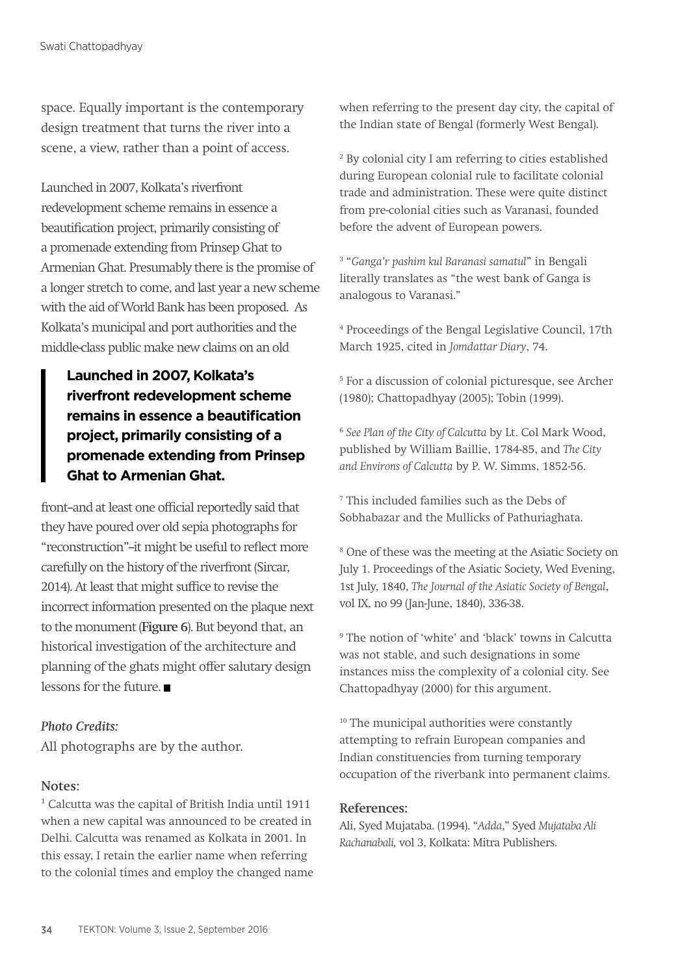space. Equally important is the contemporary design treatment that turns the river into a scene, a view, rather than a point of access.

Launched in 2007, Kolkata's riverfront redevelopment scheme remains in essence a beautification project, primarily consisting of a promenade extending from Prinsep Ghat to Armenian Ghat. Presumably there is the promise of a longer stretch to come, and last year a new scheme with the aid of World Bank has been proposed. As Kolkata's municipal and port authorities and the middle-class public make new claims on an old

**Launched in 2007, Kolkata's riverfront redevelopment scheme remains in essence a beautification project, primarily consisting of a promenade extending from Prinsep Ghat to Armenian Ghat.**

front-and at least one official reportedly said that they have poured over old sepia photographs for "reconstruction"-it might be useful to reflect more carefully on the history of the riverfront (Sircar, 2014). At least that might suffice to revise the incorrect information presented on the plaque next to the monument (**Figure 6**). But beyond that, an historical investigation of the architecture and planning of the ghats might offer salutary design lessons for the future.

#### *Photo Credits:*

All photographs are by the author.

#### **Notes:**

1 Calcutta was the capital of British India until 1911 when a new capital was announced to be created in Delhi. Calcutta was renamed as Kolkata in 2001. In this essay, I retain the earlier name when referring to the colonial times and employ the changed name when referring to the present day city, the capital of the Indian state of Bengal (formerly West Bengal).

2 By colonial city I am referring to cities established during European colonial rule to facilitate colonial trade and administration. These were quite distinct from pre-colonial cities such as Varanasi, founded before the advent of European powers.

3 "*Ganga'r pashim kul Baranasi samatul*" in Bengali literally translates as "the west bank of Ganga is analogous to Varanasi."

4 Proceedings of the Bengal Legislative Council, 17th March 1925, cited in *Jomdattar Diary*, 74.

5 For a discussion of colonial picturesque, see Archer (1980); Chattopadhyay (2005); Tobin (1999).

<sup>6</sup> *See Plan of the City of Calcutta* by Lt. Col Mark Wood, published by William Baillie, 1784-85, and *The City and Environs of Calcutta* by P. W. Simms, 1852-56.

7 This included families such as the Debs of Sobhabazar and the Mullicks of Pathuriaghata.

8 One of these was the meeting at the Asiatic Society on July 1. Proceedings of the Asiatic Society, Wed Evening, 1st July, 1840, *The Journal of the Asiatic Society of Bengal*, vol IX, no 99 (Jan-June, 1840), 336-38.

9 The notion of 'white' and 'black' towns in Calcutta was not stable, and such designations in some instances miss the complexity of a colonial city. See Chattopadhyay (2000) for this argument.

<sup>10</sup> The municipal authorities were constantly attempting to refrain European companies and Indian constituencies from turning temporary occupation of the riverbank into permanent claims.

#### **References:**

Ali, Syed Mujataba. (1994). "*Adda*," Syed *Mujataba Ali Rachanabali,* vol 3, Kolkata: Mitra Publishers.